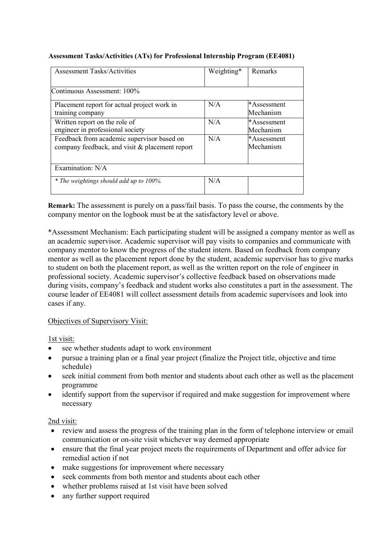| <b>Assessment Tasks/Activities</b>             | Weighting* | Remarks     |
|------------------------------------------------|------------|-------------|
|                                                |            |             |
| Continuous Assessment: 100%                    |            |             |
| Placement report for actual project work in    | N/A        | *Assessment |
| training company                               |            | Mechanism   |
| Written report on the role of                  | N/A        | *Assessment |
| engineer in professional society               |            | Mechanism   |
| Feedback from academic supervisor based on     | N/A        | *Assessment |
| company feedback, and visit & placement report |            | Mechanism   |
|                                                |            |             |
| Examination: N/A                               |            |             |
| * The weightings should add up to 100%.        | N/A        |             |

## **Assessment Tasks/Activities (ATs) for Professional Internship Program (EE4081)**

**Remark:** The assessment is purely on a pass/fail basis. To pass the course, the comments by the company mentor on the logbook must be at the satisfactory level or above.

\*Assessment Mechanism: Each participating student will be assigned a company mentor as well as an academic supervisor. Academic supervisor will pay visits to companies and communicate with company mentor to know the progress of the student intern. Based on feedback from company mentor as well as the placement report done by the student, academic supervisor has to give marks to student on both the placement report, as well as the written report on the role of engineer in professional society. Academic supervisor's collective feedback based on observations made during visits, company's feedback and student works also constitutes a part in the assessment. The course leader of EE4081 will collect assessment details from academic supervisors and look into cases if any.

## Objectives of Supervisory Visit:

1st visit:

- see whether students adapt to work environment
- pursue a training plan or a final year project (finalize the Project title, objective and time schedule)
- seek initial comment from both mentor and students about each other as well as the placement programme
- identify support from the supervisor if required and make suggestion for improvement where necessary

## 2nd visit:

- review and assess the progress of the training plan in the form of telephone interview or email communication or on-site visit whichever way deemed appropriate
- ensure that the final year project meets the requirements of Department and offer advice for remedial action if not
- make suggestions for improvement where necessary
- seek comments from both mentor and students about each other
- whether problems raised at 1st visit have been solved
- any further support required